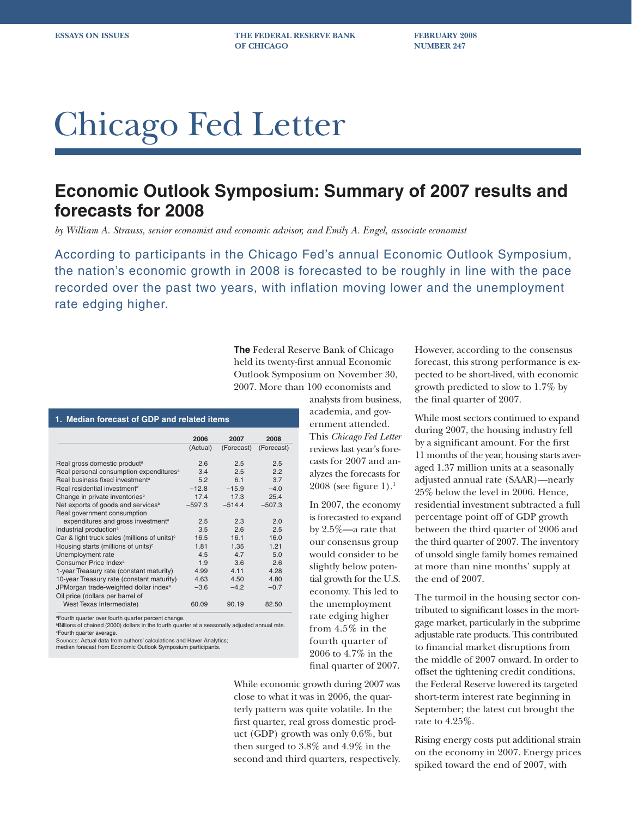**ESSAYS ON ISSUES THE FEDERAL RESERVE BANK FEBRUARY 2008 OF CHICAGO NUMBER 247** 

# Chicago Fed Letter

### **Economic Outlook Symposium: Summary of 2007 results and forecasts for 2008**

*by William A. Strauss, senior economist and economic advisor, and Emily A. Engel, associate economist*

According to participants in the Chicago Fed's annual Economic Outlook Symposium, the nation's economic growth in 2008 is forecasted to be roughly in line with the pace recorded over the past two years, with inflation moving lower and the unemployment rate edging higher.

> **The** Federal Reserve Bank of Chicago held its twenty-first annual Economic Outlook Symposium on November 30, 2007. More than 100 economists and

> > analysts from business, academia, and government attended. This *Chicago Fed Letter* reviews last year's forecasts for 2007 and analyzes the forecasts for 2008 (see figure 1).<sup>1</sup>

In 2007, the economy is forecasted to expand by 2.5%—a rate that our consensus group would consider to be slightly below potential growth for the U.S. economy. This led to the unemployment rate edging higher from 4.5% in the fourth quarter of 2006 to 4.7% in the final quarter of 2007.

While economic growth during 2007 was close to what it was in 2006, the quarterly pattern was quite volatile. In the first quarter, real gross domestic product (GDP) growth was only 0.6%, but then surged to 3.8% and 4.9% in the second and third quarters, respectively. However, according to the consensus forecast, this strong performance is expected to be short-lived, with economic growth predicted to slow to 1.7% by the final quarter of 2007.

While most sectors continued to expand during 2007, the housing industry fell by a significant amount. For the first 11 months of the year, housing starts averaged 1.37 million units at a seasonally adjusted annual rate (SAAR)—nearly 25% below the level in 2006. Hence, residential investment subtracted a full percentage point off of GDP growth between the third quarter of 2006 and the third quarter of 2007. The inventory of unsold single family homes remained at more than nine months' supply at the end of 2007.

The turmoil in the housing sector contributed to significant losses in the mortgage market, particularly in the subprime adjustable rate products. This contributed to financial market disruptions from the middle of 2007 onward. In order to offset the tightening credit conditions, the Federal Reserve lowered its targeted short-term interest rate beginning in September; the latest cut brought the rate to 4.25%.

Rising energy costs put additional strain on the economy in 2007. Energy prices spiked toward the end of 2007, with

## **1. Median forecast of GDP and related items**

|                                                          | 2006     | 2007       | 2008       |
|----------------------------------------------------------|----------|------------|------------|
|                                                          | (Actual) | (Forecast) | (Forecast) |
| Real gross domestic product <sup>a</sup>                 | 2.6      | 2.5        | 2.5        |
| Real personal consumption expenditures <sup>a</sup>      | 3.4      | 2.5        | 2.2        |
| Real business fixed investment <sup>a</sup>              | 5.2      | 6.1        | 3.7        |
| Real residential investment <sup>a</sup>                 | $-12.8$  | $-15.9$    | $-4.0$     |
| Change in private inventories <sup>b</sup>               | 17.4     | 17.3       | 25.4       |
| Net exports of goods and services <sup>b</sup>           | $-597.3$ | $-514.4$   | $-507.3$   |
| Real government consumption                              |          |            |            |
| expenditures and gross investment <sup>a</sup>           | 2.5      | 2.3        | 2.0        |
| Industrial production <sup>a</sup>                       | 3.5      | 2.6        | 2.5        |
| Car & light truck sales (millions of units) <sup>c</sup> | 16.5     | 16.1       | 16.0       |
| Housing starts (millions of units) <sup>c</sup>          | 1.81     | 1.35       | 1.21       |
| Unemployment rate                                        | 4.5      | 4.7        | 5.0        |
| Consumer Price Index <sup>a</sup>                        | 1.9      | 3.6        | 2.6        |
| 1-year Treasury rate (constant maturity)                 | 4.99     | 4.11       | 4.28       |
| 10-year Treasury rate (constant maturity)                | 4.63     | 4.50       | 4.80       |
| JPMorgan trade-weighted dollar index <sup>a</sup>        | $-3.6$   | $-4.2$     | $-0.7$     |
| Oil price (dollars per barrel of                         |          |            |            |
| West Texas Intermediate)                                 | 60.09    | 90.19      | 82.50      |
| <b>EQuith quarter over fourth quarter percent change</b> |          |            |            |

Fourth quarter over fourth quarter percent change. b Billions of chained (2000) dollars in the fourth quarter at a seasonally adjusted annual rate.

c Fourth quarter average.

SOURCES: Actual data from authors' calculations and Haver Analytics; median forecast from Economic Outlook Symposium participants.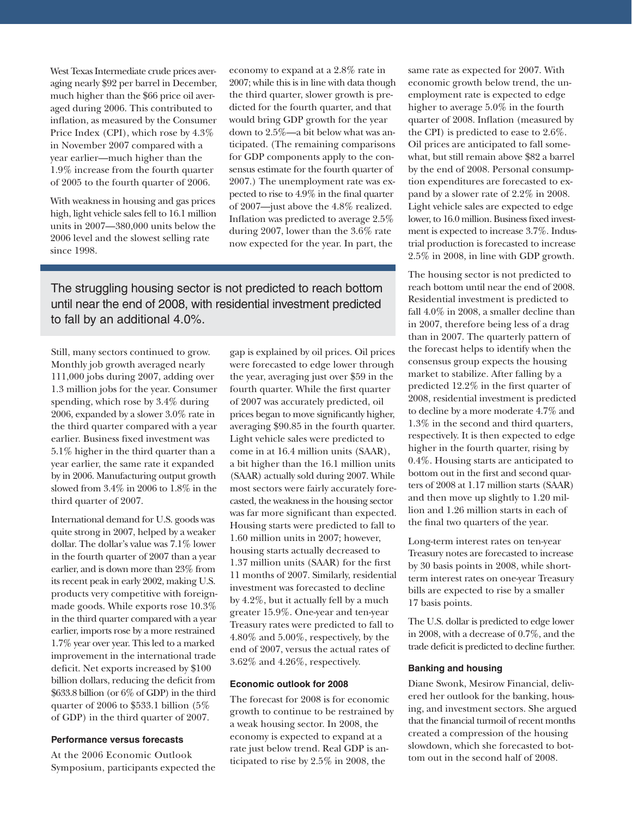West Texas Intermediate crude prices averaging nearly \$92 per barrel in December, much higher than the \$66 price oil averaged during 2006. This contributed to inflation, as measured by the Consumer Price Index (CPI), which rose by 4.3% in November 2007 compared with a year earlier—much higher than the 1.9% increase from the fourth quarter of 2005 to the fourth quarter of 2006.

With weakness in housing and gas prices high, light vehicle sales fell to 16.1 million units in 2007—380,000 units below the 2006 level and the slowest selling rate since 1998.

economy to expand at a 2.8% rate in 2007; while this is in line with data though the third quarter, slower growth is predicted for the fourth quarter, and that would bring GDP growth for the year down to 2.5%—a bit below what was anticipated. (The remaining comparisons for GDP components apply to the consensus estimate for the fourth quarter of 2007.) The unemployment rate was expected to rise to 4.9% in the final quarter of 2007—just above the 4.8% realized. Inflation was predicted to average  $2.5\%$ during 2007, lower than the 3.6% rate now expected for the year. In part, the

The struggling housing sector is not predicted to reach bottom until near the end of 2008, with residential investment predicted to fall by an additional 4.0%.

Still, many sectors continued to grow. Monthly job growth averaged nearly 111,000 jobs during 2007, adding over 1.3 million jobs for the year. Consumer spending, which rose by 3.4% during 2006, expanded by a slower 3.0% rate in the third quarter compared with a year earlier. Business fixed investment was 5.1% higher in the third quarter than a year earlier, the same rate it expanded by in 2006. Manufacturing output growth slowed from 3.4% in 2006 to 1.8% in the third quarter of 2007.

International demand for U.S. goods was quite strong in 2007, helped by a weaker dollar. The dollar's value was 7.1% lower in the fourth quarter of 2007 than a year earlier, and is down more than 23% from its recent peak in early 2002, making U.S. products very competitive with foreignmade goods. While exports rose 10.3% in the third quarter compared with a year earlier, imports rose by a more restrained 1.7% year over year. This led to a marked improvement in the international trade deficit. Net exports increased by \$100 billion dollars, reducing the deficit from \$633.8 billion (or 6% of GDP) in the third quarter of 2006 to \$533.1 billion (5% of GDP) in the third quarter of 2007.

#### **Performance versus forecasts**

At the 2006 Economic Outlook Symposium, participants expected the gap is explained by oil prices. Oil prices were forecasted to edge lower through the year, averaging just over \$59 in the fourth quarter. While the first quarter of 2007 was accurately predicted, oil prices began to move significantly higher, averaging \$90.85 in the fourth quarter. Light vehicle sales were predicted to come in at 16.4 million units (SAAR), a bit higher than the 16.1 million units (SAAR) actually sold during 2007. While most sectors were fairly accurately forecasted, the weakness in the housing sector was far more significant than expected. Housing starts were predicted to fall to 1.60 million units in 2007; however, housing starts actually decreased to 1.37 million units (SAAR) for the first 11 months of 2007. Similarly, residential investment was forecasted to decline by 4.2%, but it actually fell by a much greater 15.9%. One-year and ten-year Treasury rates were predicted to fall to 4.80% and 5.00%, respectively, by the end of 2007, versus the actual rates of 3.62% and 4.26%, respectively.

#### **Economic outlook for 2008**

The forecast for 2008 is for economic growth to continue to be restrained by a weak housing sector. In 2008, the economy is expected to expand at a rate just below trend. Real GDP is anticipated to rise by 2.5% in 2008, the

same rate as expected for 2007. With economic growth below trend, the unemployment rate is expected to edge higher to average 5.0% in the fourth quarter of 2008. Inflation (measured by the CPI) is predicted to ease to 2.6%. Oil prices are anticipated to fall somewhat, but still remain above \$82 a barrel by the end of 2008. Personal consumption expenditures are forecasted to expand by a slower rate of 2.2% in 2008. Light vehicle sales are expected to edge lower, to 16.0 million. Business fixed investment is expected to increase 3.7%. Industrial production is forecasted to increase 2.5% in 2008, in line with GDP growth.

The housing sector is not predicted to reach bottom until near the end of 2008. Residential investment is predicted to fall 4.0% in 2008, a smaller decline than in 2007, therefore being less of a drag than in 2007. The quarterly pattern of the forecast helps to identify when the consensus group expects the housing market to stabilize. After falling by a predicted 12.2% in the first quarter of 2008, residential investment is predicted to decline by a more moderate 4.7% and 1.3% in the second and third quarters, respectively. It is then expected to edge higher in the fourth quarter, rising by 0.4%. Housing starts are anticipated to bottom out in the first and second quarters of 2008 at 1.17 million starts (SAAR) and then move up slightly to 1.20 million and 1.26 million starts in each of the final two quarters of the year.

Long-term interest rates on ten-year Treasury notes are forecasted to increase by 30 basis points in 2008, while shortterm interest rates on one-year Treasury bills are expected to rise by a smaller 17 basis points.

The U.S. dollar is predicted to edge lower in 2008, with a decrease of 0.7%, and the trade deficit is predicted to decline further.

#### **Banking and housing**

Diane Swonk, Mesirow Financial, delivered her outlook for the banking, housing, and investment sectors. She argued that the financial turmoil of recent months created a compression of the housing slowdown, which she forecasted to bottom out in the second half of 2008.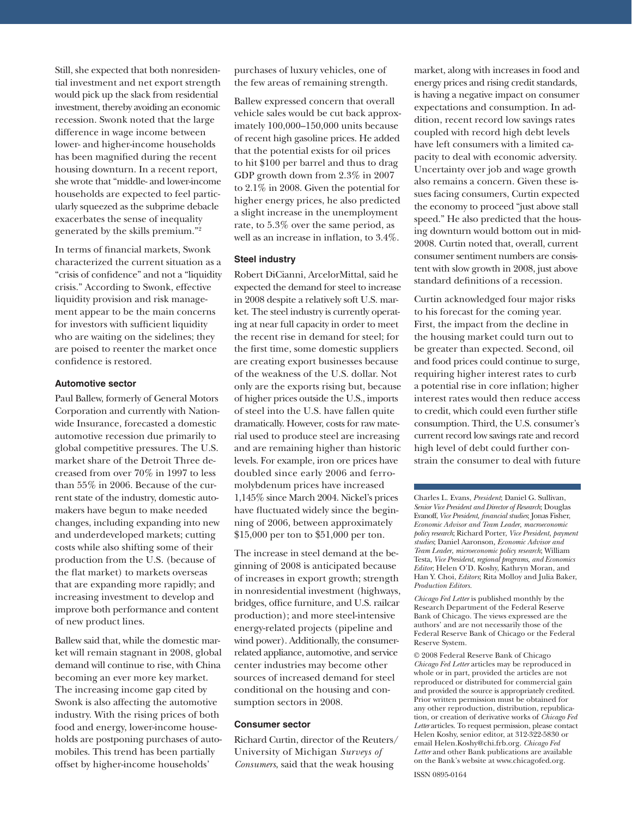Still, she expected that both nonresidential investment and net export strength would pick up the slack from residential investment, thereby avoiding an economic recession. Swonk noted that the large difference in wage income between lower- and higher-income households has been magnified during the recent housing downturn. In a recent report, she wrote that "middle- and lower-income households are expected to feel particularly squeezed as the subprime debacle exacerbates the sense of inequality generated by the skills premium."2

In terms of financial markets, Swonk characterized the current situation as a "crisis of confidence" and not a "liquidity" crisis." According to Swonk, effective liquidity provision and risk management appear to be the main concerns for investors with sufficient liquidity who are waiting on the sidelines; they are poised to reenter the market once confidence is restored.

#### **Automotive sector**

Paul Ballew, formerly of General Motors Corporation and currently with Nationwide Insurance, forecasted a domestic automotive recession due primarily to global competitive pressures. The U.S. market share of the Detroit Three decreased from over 70% in 1997 to less than 55% in 2006. Because of the current state of the industry, domestic automakers have begun to make needed changes, including expanding into new and underdeveloped markets; cutting costs while also shifting some of their production from the U.S. (because of the flat market) to markets overseas that are expanding more rapidly; and increasing investment to develop and improve both performance and content of new product lines.

Ballew said that, while the domestic market will remain stagnant in 2008, global demand will continue to rise, with China becoming an ever more key market. The increasing income gap cited by Swonk is also affecting the automotive industry. With the rising prices of both food and energy, lower-income households are postponing purchases of automobiles. This trend has been partially offset by higher-income households'

purchases of luxury vehicles, one of the few areas of remaining strength.

Ballew expressed concern that overall vehicle sales would be cut back approximately 100,000–150,000 units because of recent high gasoline prices. He added that the potential exists for oil prices to hit \$100 per barrel and thus to drag GDP growth down from 2.3% in 2007 to 2.1% in 2008. Given the potential for higher energy prices, he also predicted a slight increase in the unemployment rate, to 5.3% over the same period, as well as an increase in inflation, to  $3.4\%$ .

#### **Steel industry**

Robert DiCianni, ArcelorMittal, said he expected the demand for steel to increase in 2008 despite a relatively soft U.S. market. The steel industry is currently operating at near full capacity in order to meet the recent rise in demand for steel; for the first time, some domestic suppliers are creating export businesses because of the weakness of the U.S. dollar. Not only are the exports rising but, because of higher prices outside the U.S., imports of steel into the U.S. have fallen quite dramatically. However, costs for raw material used to produce steel are increasing and are remaining higher than historic levels. For example, iron ore prices have doubled since early 2006 and ferromolybdenum prices have increased 1,145% since March 2004. Nickel's prices have fluctuated widely since the beginning of 2006, between approximately \$15,000 per ton to \$51,000 per ton.

The increase in steel demand at the beginning of 2008 is anticipated because of increases in export growth; strength in nonresidential investment (highways, bridges, office furniture, and U.S. railcar production); and more steel-intensive energy-related projects (pipeline and wind power). Additionally, the consumerrelated appliance, automotive, and service center industries may become other sources of increased demand for steel conditional on the housing and consumption sectors in 2008.

#### **Consumer sector**

Richard Curtin, director of the Reuters/ University of Michigan *Surveys of Consumers*, said that the weak housing

market, along with increases in food and energy prices and rising credit standards, is having a negative impact on consumer expectations and consumption. In addition, recent record low savings rates coupled with record high debt levels have left consumers with a limited capacity to deal with economic adversity. Uncertainty over job and wage growth also remains a concern. Given these issues facing consumers, Curtin expected the economy to proceed "just above stall speed." He also predicted that the housing downturn would bottom out in mid-2008. Curtin noted that, overall, current consumer sentiment numbers are consistent with slow growth in 2008, just above standard definitions of a recession.

Curtin acknowledged four major risks to his forecast for the coming year. First, the impact from the decline in the housing market could turn out to be greater than expected. Second, oil and food prices could continue to surge, requiring higher interest rates to curb a potential rise in core inflation; higher interest rates would then reduce access to credit, which could even further stifle consumption. Third, the U.S. consumer's current record low savings rate and record high level of debt could further constrain the consumer to deal with future

Charles L. Evans, *President*; Daniel G. Sullivan, *Senior Vice President and Director of Research*; Douglas Evanoff, *Vice President, financial studies*; Jonas Fisher, *Economic Advisor and Team Leader*, *macroeconomic policy research*; Richard Porter, *Vice President*, *payment studies*; Daniel Aaronson*, Economic Advisor and Team Leader*, *microeconomic policy research*; William Testa, *Vice President*, *regional programs*, *and Economics Editor*; Helen O'D. Koshy, Kathryn Moran, and Han Y. Choi, *Editors*; Rita Molloy and Julia Baker, *Production Editors.*

*Chicago Fed Letter* is published monthly by the Research Department of the Federal Reserve Bank of Chicago. The views expressed are the authors' and are not necessarily those of the Federal Reserve Bank of Chicago or the Federal Reserve System.

© 2008 Federal Reserve Bank of Chicago *Chicago Fed Letter* articles may be reproduced in whole or in part, provided the articles are not reproduced or distributed for commercial gain and provided the source is appropriately credited. Prior written permission must be obtained for any other reproduction, distribution, republication, or creation of derivative works of *Chicago Fed Letter* articles. To request permission, please contact Helen Koshy, senior editor, at 312-322-5830 or email Helen.Koshy@chi.frb.org. *Chicago Fed Letter* and other Bank publications are available on the Bank's website at www.chicagofed.org.

ISSN 0895-0164